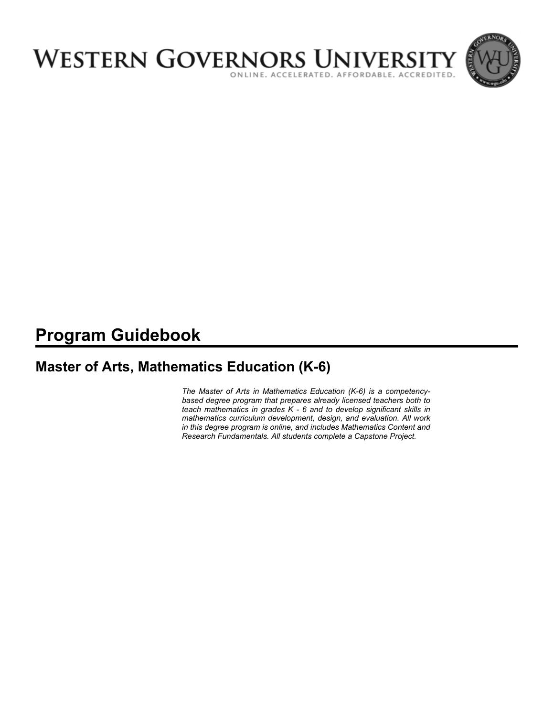

# **Program Guidebook**

# **Master of Arts, Mathematics Education (K-6)**

*The Master of Arts in Mathematics Education (K-6) is a competencybased degree program that prepares already licensed teachers both to teach mathematics in grades K - 6 and to develop significant skills in mathematics curriculum development, design, and evaluation. All work in this degree program is online, and includes Mathematics Content and Research Fundamentals. All students complete a Capstone Project.*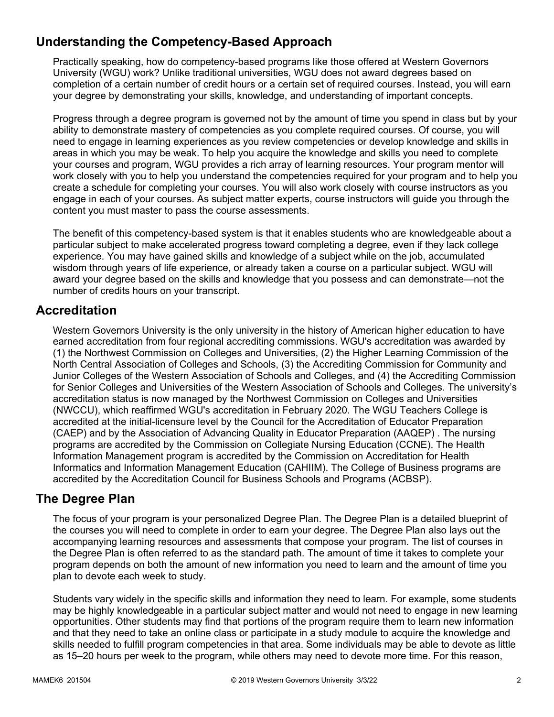# **Understanding the Competency-Based Approach**

Practically speaking, how do competency-based programs like those offered at Western Governors University (WGU) work? Unlike traditional universities, WGU does not award degrees based on completion of a certain number of credit hours or a certain set of required courses. Instead, you will earn your degree by demonstrating your skills, knowledge, and understanding of important concepts.

Progress through a degree program is governed not by the amount of time you spend in class but by your ability to demonstrate mastery of competencies as you complete required courses. Of course, you will need to engage in learning experiences as you review competencies or develop knowledge and skills in areas in which you may be weak. To help you acquire the knowledge and skills you need to complete your courses and program, WGU provides a rich array of learning resources. Your program mentor will work closely with you to help you understand the competencies required for your program and to help you create a schedule for completing your courses. You will also work closely with course instructors as you engage in each of your courses. As subject matter experts, course instructors will guide you through the content you must master to pass the course assessments.

The benefit of this competency-based system is that it enables students who are knowledgeable about a particular subject to make accelerated progress toward completing a degree, even if they lack college experience. You may have gained skills and knowledge of a subject while on the job, accumulated wisdom through years of life experience, or already taken a course on a particular subject. WGU will award your degree based on the skills and knowledge that you possess and can demonstrate—not the number of credits hours on your transcript.

## **Accreditation**

Western Governors University is the only university in the history of American higher education to have earned accreditation from four regional accrediting commissions. WGU's accreditation was awarded by (1) the Northwest Commission on Colleges and Universities, (2) the Higher Learning Commission of the North Central Association of Colleges and Schools, (3) the Accrediting Commission for Community and Junior Colleges of the Western Association of Schools and Colleges, and (4) the Accrediting Commission for Senior Colleges and Universities of the Western Association of Schools and Colleges. The university's accreditation status is now managed by the Northwest Commission on Colleges and Universities (NWCCU), which reaffirmed WGU's accreditation in February 2020. The WGU Teachers College is accredited at the initial-licensure level by the Council for the Accreditation of Educator Preparation (CAEP) and by the Association of Advancing Quality in Educator Preparation (AAQEP) . The nursing programs are accredited by the Commission on Collegiate Nursing Education (CCNE). The Health Information Management program is accredited by the Commission on Accreditation for Health Informatics and Information Management Education (CAHIIM). The College of Business programs are accredited by the Accreditation Council for Business Schools and Programs (ACBSP).

## **The Degree Plan**

The focus of your program is your personalized Degree Plan. The Degree Plan is a detailed blueprint of the courses you will need to complete in order to earn your degree. The Degree Plan also lays out the accompanying learning resources and assessments that compose your program. The list of courses in the Degree Plan is often referred to as the standard path. The amount of time it takes to complete your program depends on both the amount of new information you need to learn and the amount of time you plan to devote each week to study.

Students vary widely in the specific skills and information they need to learn. For example, some students may be highly knowledgeable in a particular subject matter and would not need to engage in new learning opportunities. Other students may find that portions of the program require them to learn new information and that they need to take an online class or participate in a study module to acquire the knowledge and skills needed to fulfill program competencies in that area. Some individuals may be able to devote as little as 15–20 hours per week to the program, while others may need to devote more time. For this reason,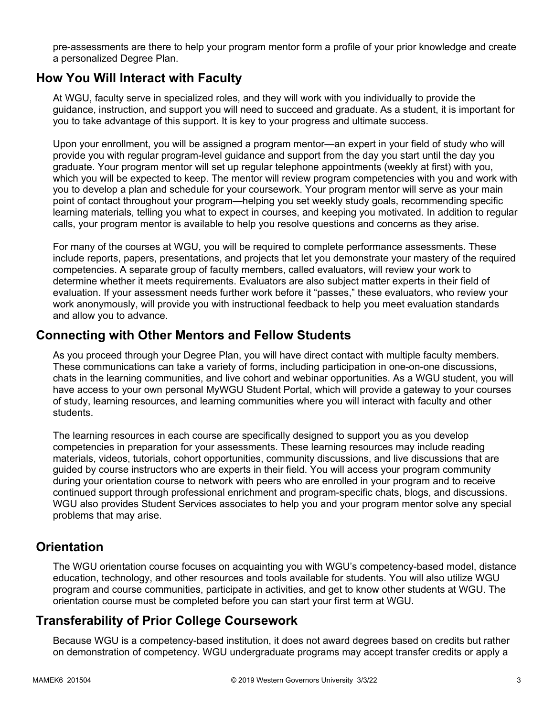pre-assessments are there to help your program mentor form a profile of your prior knowledge and create a personalized Degree Plan.

## **How You Will Interact with Faculty**

At WGU, faculty serve in specialized roles, and they will work with you individually to provide the guidance, instruction, and support you will need to succeed and graduate. As a student, it is important for you to take advantage of this support. It is key to your progress and ultimate success.

Upon your enrollment, you will be assigned a program mentor—an expert in your field of study who will provide you with regular program-level guidance and support from the day you start until the day you graduate. Your program mentor will set up regular telephone appointments (weekly at first) with you, which you will be expected to keep. The mentor will review program competencies with you and work with you to develop a plan and schedule for your coursework. Your program mentor will serve as your main point of contact throughout your program—helping you set weekly study goals, recommending specific learning materials, telling you what to expect in courses, and keeping you motivated. In addition to regular calls, your program mentor is available to help you resolve questions and concerns as they arise.

For many of the courses at WGU, you will be required to complete performance assessments. These include reports, papers, presentations, and projects that let you demonstrate your mastery of the required competencies. A separate group of faculty members, called evaluators, will review your work to determine whether it meets requirements. Evaluators are also subject matter experts in their field of evaluation. If your assessment needs further work before it "passes," these evaluators, who review your work anonymously, will provide you with instructional feedback to help you meet evaluation standards and allow you to advance.

## **Connecting with Other Mentors and Fellow Students**

As you proceed through your Degree Plan, you will have direct contact with multiple faculty members. These communications can take a variety of forms, including participation in one-on-one discussions, chats in the learning communities, and live cohort and webinar opportunities. As a WGU student, you will have access to your own personal MyWGU Student Portal, which will provide a gateway to your courses of study, learning resources, and learning communities where you will interact with faculty and other students.

The learning resources in each course are specifically designed to support you as you develop competencies in preparation for your assessments. These learning resources may include reading materials, videos, tutorials, cohort opportunities, community discussions, and live discussions that are guided by course instructors who are experts in their field. You will access your program community during your orientation course to network with peers who are enrolled in your program and to receive continued support through professional enrichment and program-specific chats, blogs, and discussions. WGU also provides Student Services associates to help you and your program mentor solve any special problems that may arise.

## **Orientation**

The WGU orientation course focuses on acquainting you with WGU's competency-based model, distance education, technology, and other resources and tools available for students. You will also utilize WGU program and course communities, participate in activities, and get to know other students at WGU. The orientation course must be completed before you can start your first term at WGU.

## **Transferability of Prior College Coursework**

Because WGU is a competency-based institution, it does not award degrees based on credits but rather on demonstration of competency. WGU undergraduate programs may accept transfer credits or apply a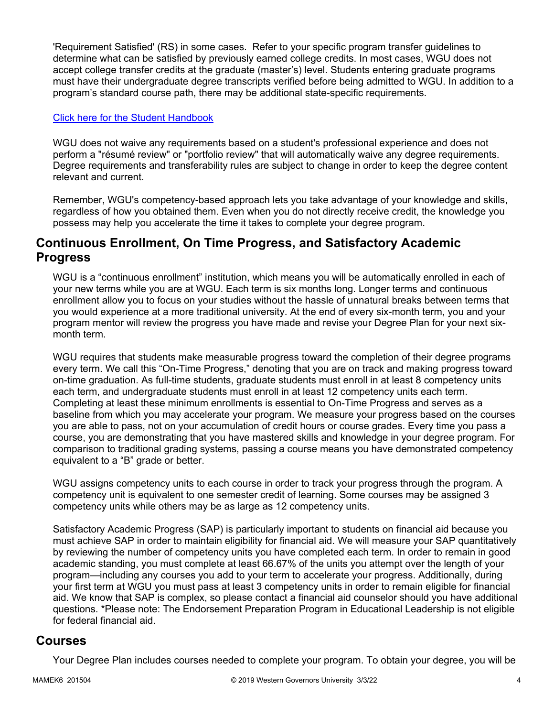'Requirement Satisfied' (RS) in some cases. Refer to your specific program transfer guidelines to determine what can be satisfied by previously earned college credits. In most cases, WGU does not accept college transfer credits at the graduate (master's) level. Students entering graduate programs must have their undergraduate degree transcripts verified before being admitted to WGU. In addition to a program's standard course path, there may be additional state-specific requirements.

### [Click here for the Student Handbook](http://cm.wgu.edu/)

WGU does not waive any requirements based on a student's professional experience and does not perform a "résumé review" or "portfolio review" that will automatically waive any degree requirements. Degree requirements and transferability rules are subject to change in order to keep the degree content relevant and current.

Remember, WGU's competency-based approach lets you take advantage of your knowledge and skills, regardless of how you obtained them. Even when you do not directly receive credit, the knowledge you possess may help you accelerate the time it takes to complete your degree program.

## **Continuous Enrollment, On Time Progress, and Satisfactory Academic Progress**

WGU is a "continuous enrollment" institution, which means you will be automatically enrolled in each of your new terms while you are at WGU. Each term is six months long. Longer terms and continuous enrollment allow you to focus on your studies without the hassle of unnatural breaks between terms that you would experience at a more traditional university. At the end of every six-month term, you and your program mentor will review the progress you have made and revise your Degree Plan for your next sixmonth term.

WGU requires that students make measurable progress toward the completion of their degree programs every term. We call this "On-Time Progress," denoting that you are on track and making progress toward on-time graduation. As full-time students, graduate students must enroll in at least 8 competency units each term, and undergraduate students must enroll in at least 12 competency units each term. Completing at least these minimum enrollments is essential to On-Time Progress and serves as a baseline from which you may accelerate your program. We measure your progress based on the courses you are able to pass, not on your accumulation of credit hours or course grades. Every time you pass a course, you are demonstrating that you have mastered skills and knowledge in your degree program. For comparison to traditional grading systems, passing a course means you have demonstrated competency equivalent to a "B" grade or better.

WGU assigns competency units to each course in order to track your progress through the program. A competency unit is equivalent to one semester credit of learning. Some courses may be assigned 3 competency units while others may be as large as 12 competency units.

Satisfactory Academic Progress (SAP) is particularly important to students on financial aid because you must achieve SAP in order to maintain eligibility for financial aid. We will measure your SAP quantitatively by reviewing the number of competency units you have completed each term. In order to remain in good academic standing, you must complete at least 66.67% of the units you attempt over the length of your program—including any courses you add to your term to accelerate your progress. Additionally, during your first term at WGU you must pass at least 3 competency units in order to remain eligible for financial aid. We know that SAP is complex, so please contact a financial aid counselor should you have additional questions. \*Please note: The Endorsement Preparation Program in Educational Leadership is not eligible for federal financial aid.

### **Courses**

Your Degree Plan includes courses needed to complete your program. To obtain your degree, you will be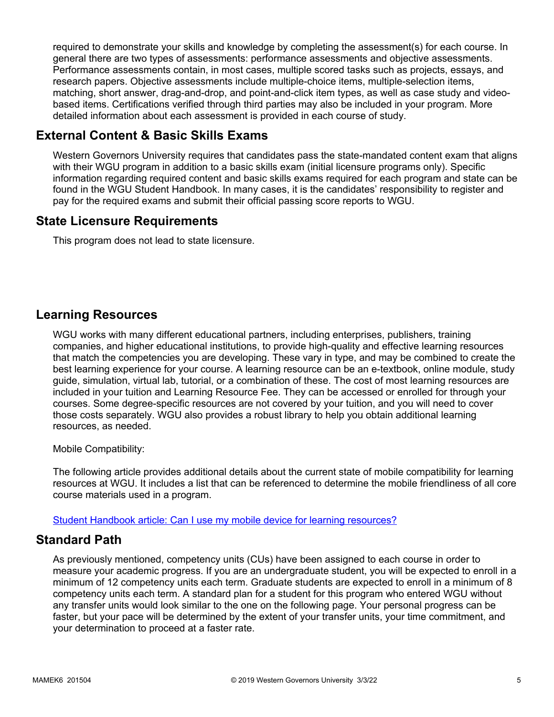required to demonstrate your skills and knowledge by completing the assessment(s) for each course. In general there are two types of assessments: performance assessments and objective assessments. Performance assessments contain, in most cases, multiple scored tasks such as projects, essays, and research papers. Objective assessments include multiple-choice items, multiple-selection items, matching, short answer, drag-and-drop, and point-and-click item types, as well as case study and videobased items. Certifications verified through third parties may also be included in your program. More detailed information about each assessment is provided in each course of study.

## **External Content & Basic Skills Exams**

Western Governors University requires that candidates pass the state-mandated content exam that aligns with their WGU program in addition to a basic skills exam (initial licensure programs only). Specific information regarding required content and basic skills exams required for each program and state can be found in the WGU Student Handbook. In many cases, it is the candidates' responsibility to register and pay for the required exams and submit their official passing score reports to WGU.

## **State Licensure Requirements**

This program does not lead to state licensure.

## **Learning Resources**

WGU works with many different educational partners, including enterprises, publishers, training companies, and higher educational institutions, to provide high-quality and effective learning resources that match the competencies you are developing. These vary in type, and may be combined to create the best learning experience for your course. A learning resource can be an e-textbook, online module, study guide, simulation, virtual lab, tutorial, or a combination of these. The cost of most learning resources are included in your tuition and Learning Resource Fee. They can be accessed or enrolled for through your courses. Some degree-specific resources are not covered by your tuition, and you will need to cover those costs separately. WGU also provides a robust library to help you obtain additional learning resources, as needed.

Mobile Compatibility:

The following article provides additional details about the current state of mobile compatibility for learning resources at WGU. It includes a list that can be referenced to determine the mobile friendliness of all core course materials used in a program.

[Student Handbook article: Can I use my mobile device for learning resources?](https://cm.wgu.edu/t5/Frequently-Asked-Questions/Can-I-use-my-mobile-device-for-learning-resources/ta-p/396)

## **Standard Path**

As previously mentioned, competency units (CUs) have been assigned to each course in order to measure your academic progress. If you are an undergraduate student, you will be expected to enroll in a minimum of 12 competency units each term. Graduate students are expected to enroll in a minimum of 8 competency units each term. A standard plan for a student for this program who entered WGU without any transfer units would look similar to the one on the following page. Your personal progress can be faster, but your pace will be determined by the extent of your transfer units, your time commitment, and your determination to proceed at a faster rate.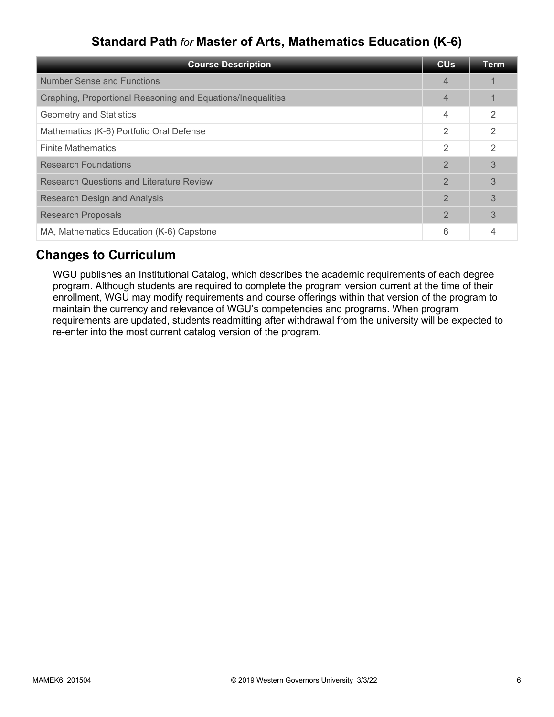# **Standard Path** *for* **Master of Arts, Mathematics Education (K-6)**

| <b>Course Description</b>                                   | <b>CU<sub>s</sub></b> | Term          |
|-------------------------------------------------------------|-----------------------|---------------|
| Number Sense and Functions                                  | $\overline{4}$        |               |
| Graphing, Proportional Reasoning and Equations/Inequalities | 4                     |               |
| <b>Geometry and Statistics</b>                              | 4                     | 2             |
| Mathematics (K-6) Portfolio Oral Defense                    | $\overline{2}$        | $\mathcal{P}$ |
| <b>Finite Mathematics</b>                                   | $\mathcal{P}$         | $\mathcal{P}$ |
| <b>Research Foundations</b>                                 | $\overline{2}$        | 3             |
| <b>Research Questions and Literature Review</b>             | $\overline{2}$        | 3             |
| <b>Research Design and Analysis</b>                         | $\mathbf{2}$          | 3             |
| <b>Research Proposals</b>                                   | $\overline{2}$        | 3             |
| MA, Mathematics Education (K-6) Capstone                    | 6                     |               |

## **Changes to Curriculum**

WGU publishes an Institutional Catalog, which describes the academic requirements of each degree program. Although students are required to complete the program version current at the time of their enrollment, WGU may modify requirements and course offerings within that version of the program to maintain the currency and relevance of WGU's competencies and programs. When program requirements are updated, students readmitting after withdrawal from the university will be expected to re-enter into the most current catalog version of the program.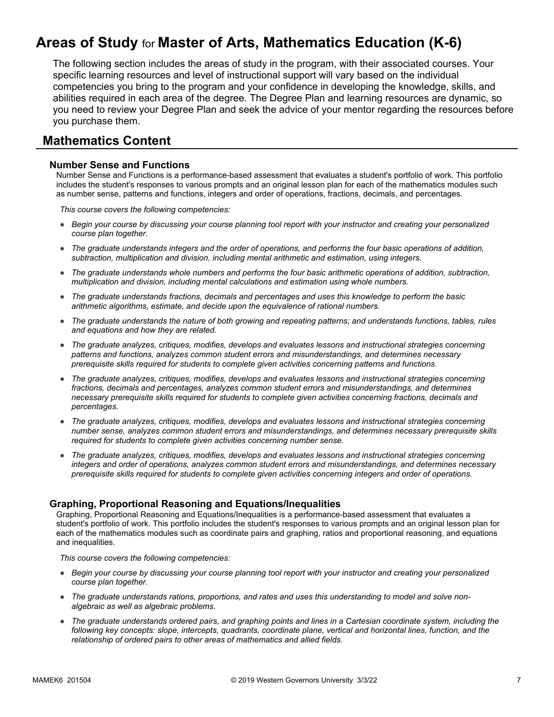# **Areas of Study** for **Master of Arts, Mathematics Education (K-6)**

The following section includes the areas of study in the program, with their associated courses. Your specific learning resources and level of instructional support will vary based on the individual competencies you bring to the program and your confidence in developing the knowledge, skills, and abilities required in each area of the degree. The Degree Plan and learning resources are dynamic, so you need to review your Degree Plan and seek the advice of your mentor regarding the resources before you purchase them.

## **Mathematics Content**

#### **Number Sense and Functions**

Number Sense and Functions is a performance-based assessment that evaluates a student's portfolio of work. This portfolio includes the student's responses to various prompts and an original lesson plan for each of the mathematics modules such as number sense, patterns and functions, integers and order of operations, fractions, decimals, and percentages.

*This course covers the following competencies:*

- *Begin your course by discussing your course planning tool report with your instructor and creating your personalized course plan together.*
- *The graduate understands integers and the order of operations, and performs the four basic operations of addition, subtraction, multiplication and division, including mental arithmetic and estimation, using integers.*
- *The graduate understands whole numbers and performs the four basic arithmetic operations of addition, subtraction, multiplication and division, including mental calculations and estimation using whole numbers.*
- *The graduate understands fractions, decimals and percentages and uses this knowledge to perform the basic arithmetic algorithms, estimate, and decide upon the equivalence of rational numbers.*
- *The graduate understands the nature of both growing and repeating patterns; and understands functions, tables, rules and equations and how they are related.*
- *The graduate analyzes, critiques, modifies, develops and evaluates lessons and instructional strategies concerning patterns and functions, analyzes common student errors and misunderstandings, and determines necessary prerequisite skills required for students to complete given activities concerning patterns and functions.*
- *The graduate analyzes, critiques, modifies, develops and evaluates lessons and instructional strategies concerning fractions, decimals and percentages, analyzes common student errors and misunderstandings, and determines necessary prerequisite skills required for students to complete given activities concerning fractions, decimals and percentages.*
- *The graduate analyzes, critiques, modifies, develops and evaluates lessons and instructional strategies concerning number sense, analyzes common student errors and misunderstandings, and determines necessary prerequisite skills required for students to complete given activities concerning number sense.*
- *The graduate analyzes, critiques, modifies, develops and evaluates lessons and instructional strategies concerning integers and order of operations, analyzes common student errors and misunderstandings, and determines necessary prerequisite skills required for students to complete given activities concerning integers and order of operations.*

### **Graphing, Proportional Reasoning and Equations/Inequalities**

Graphing, Proportional Reasoning and Equations/Inequalities is a performance-based assessment that evaluates a student's portfolio of work. This portfolio includes the student's responses to various prompts and an original lesson plan for each of the mathematics modules such as coordinate pairs and graphing, ratios and proportional reasoning, and equations and inequalities.

- *Begin your course by discussing your course planning tool report with your instructor and creating your personalized course plan together.*
- *The graduate understands rations, proportions, and rates and uses this understanding to model and solve nonalgebraic as well as algebraic problems.*
- *The graduate understands ordered pairs, and graphing points and lines in a Cartesian coordinate system, including the following key concepts: slope, intercepts, quadrants, coordinate plane, vertical and horizontal lines, function, and the relationship of ordered pairs to other areas of mathematics and allied fields.*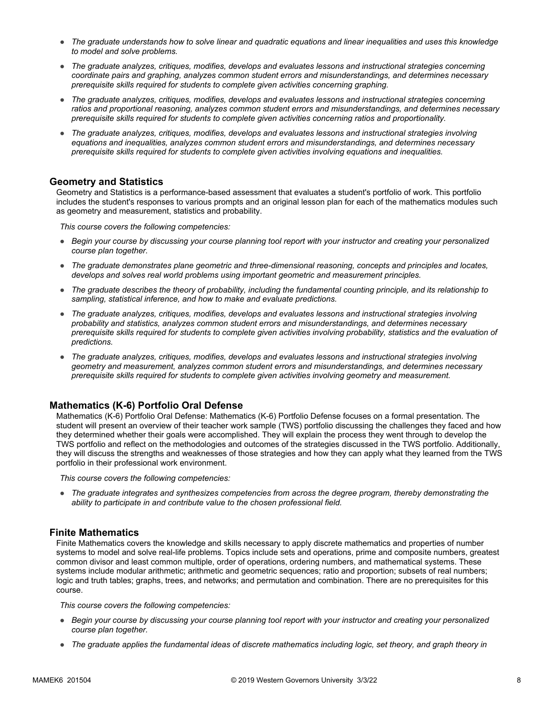- *The graduate understands how to solve linear and quadratic equations and linear inequalities and uses this knowledge to model and solve problems.*
- *The graduate analyzes, critiques, modifies, develops and evaluates lessons and instructional strategies concerning coordinate pairs and graphing, analyzes common student errors and misunderstandings, and determines necessary prerequisite skills required for students to complete given activities concerning graphing.*
- *The graduate analyzes, critiques, modifies, develops and evaluates lessons and instructional strategies concerning ratios and proportional reasoning, analyzes common student errors and misunderstandings, and determines necessary prerequisite skills required for students to complete given activities concerning ratios and proportionality.*
- *The graduate analyzes, critiques, modifies, develops and evaluates lessons and instructional strategies involving equations and inequalities, analyzes common student errors and misunderstandings, and determines necessary prerequisite skills required for students to complete given activities involving equations and inequalities.*

### **Geometry and Statistics**

Geometry and Statistics is a performance-based assessment that evaluates a student's portfolio of work. This portfolio includes the student's responses to various prompts and an original lesson plan for each of the mathematics modules such as geometry and measurement, statistics and probability.

*This course covers the following competencies:*

- *Begin your course by discussing your course planning tool report with your instructor and creating your personalized course plan together.*
- *The graduate demonstrates plane geometric and three-dimensional reasoning, concepts and principles and locates, develops and solves real world problems using important geometric and measurement principles.*
- *The graduate describes the theory of probability, including the fundamental counting principle, and its relationship to sampling, statistical inference, and how to make and evaluate predictions.*
- *The graduate analyzes, critiques, modifies, develops and evaluates lessons and instructional strategies involving probability and statistics, analyzes common student errors and misunderstandings, and determines necessary prerequisite skills required for students to complete given activities involving probability, statistics and the evaluation of predictions.*
- *The graduate analyzes, critiques, modifies, develops and evaluates lessons and instructional strategies involving geometry and measurement, analyzes common student errors and misunderstandings, and determines necessary prerequisite skills required for students to complete given activities involving geometry and measurement.*

### **Mathematics (K-6) Portfolio Oral Defense**

Mathematics (K-6) Portfolio Oral Defense: Mathematics (K-6) Portfolio Defense focuses on a formal presentation. The student will present an overview of their teacher work sample (TWS) portfolio discussing the challenges they faced and how they determined whether their goals were accomplished. They will explain the process they went through to develop the TWS portfolio and reflect on the methodologies and outcomes of the strategies discussed in the TWS portfolio. Additionally, they will discuss the strengths and weaknesses of those strategies and how they can apply what they learned from the TWS portfolio in their professional work environment.

*This course covers the following competencies:*

● *The graduate integrates and synthesizes competencies from across the degree program, thereby demonstrating the ability to participate in and contribute value to the chosen professional field.*

### **Finite Mathematics**

Finite Mathematics covers the knowledge and skills necessary to apply discrete mathematics and properties of number systems to model and solve real-life problems. Topics include sets and operations, prime and composite numbers, greatest common divisor and least common multiple, order of operations, ordering numbers, and mathematical systems. These systems include modular arithmetic; arithmetic and geometric sequences; ratio and proportion; subsets of real numbers; logic and truth tables; graphs, trees, and networks; and permutation and combination. There are no prerequisites for this course.

- *Begin your course by discussing your course planning tool report with your instructor and creating your personalized course plan together.*
- *The graduate applies the fundamental ideas of discrete mathematics including logic, set theory, and graph theory in*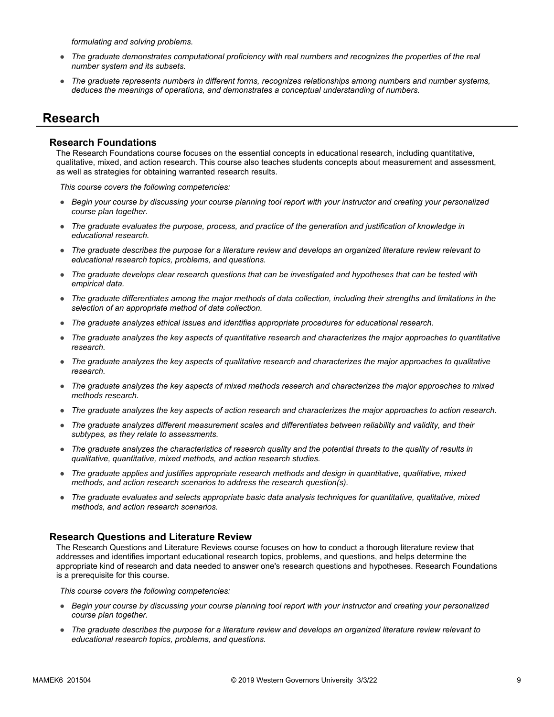*formulating and solving problems.*

- *The graduate demonstrates computational proficiency with real numbers and recognizes the properties of the real number system and its subsets.*
- *The graduate represents numbers in different forms, recognizes relationships among numbers and number systems, deduces the meanings of operations, and demonstrates a conceptual understanding of numbers.*

### **Research**

### **Research Foundations**

The Research Foundations course focuses on the essential concepts in educational research, including quantitative, qualitative, mixed, and action research. This course also teaches students concepts about measurement and assessment, as well as strategies for obtaining warranted research results.

*This course covers the following competencies:*

- *Begin your course by discussing your course planning tool report with your instructor and creating your personalized course plan together.*
- *The graduate evaluates the purpose, process, and practice of the generation and justification of knowledge in educational research.*
- *The graduate describes the purpose for a literature review and develops an organized literature review relevant to educational research topics, problems, and questions.*
- *The graduate develops clear research questions that can be investigated and hypotheses that can be tested with empirical data.*
- *The graduate differentiates among the major methods of data collection, including their strengths and limitations in the selection of an appropriate method of data collection.*
- *The graduate analyzes ethical issues and identifies appropriate procedures for educational research.*
- *The graduate analyzes the key aspects of quantitative research and characterizes the major approaches to quantitative research.*
- *The graduate analyzes the key aspects of qualitative research and characterizes the major approaches to qualitative research.*
- *The graduate analyzes the key aspects of mixed methods research and characterizes the major approaches to mixed methods research.*
- *The graduate analyzes the key aspects of action research and characterizes the major approaches to action research.*
- *The graduate analyzes different measurement scales and differentiates between reliability and validity, and their subtypes, as they relate to assessments.*
- *The graduate analyzes the characteristics of research quality and the potential threats to the quality of results in qualitative, quantitative, mixed methods, and action research studies.*
- *The graduate applies and justifies appropriate research methods and design in quantitative, qualitative, mixed methods, and action research scenarios to address the research question(s).*
- *The graduate evaluates and selects appropriate basic data analysis techniques for quantitative, qualitative, mixed methods, and action research scenarios.*

#### **Research Questions and Literature Review**

The Research Questions and Literature Reviews course focuses on how to conduct a thorough literature review that addresses and identifies important educational research topics, problems, and questions, and helps determine the appropriate kind of research and data needed to answer one's research questions and hypotheses. Research Foundations is a prerequisite for this course.

- *Begin your course by discussing your course planning tool report with your instructor and creating your personalized course plan together.*
- *The graduate describes the purpose for a literature review and develops an organized literature review relevant to educational research topics, problems, and questions.*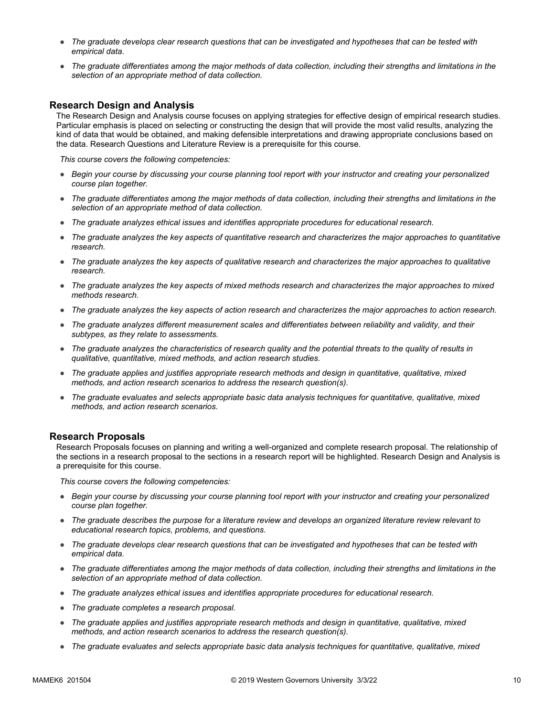- *The graduate develops clear research questions that can be investigated and hypotheses that can be tested with empirical data.*
- *The graduate differentiates among the major methods of data collection, including their strengths and limitations in the selection of an appropriate method of data collection.*

### **Research Design and Analysis**

The Research Design and Analysis course focuses on applying strategies for effective design of empirical research studies. Particular emphasis is placed on selecting or constructing the design that will provide the most valid results, analyzing the kind of data that would be obtained, and making defensible interpretations and drawing appropriate conclusions based on the data. Research Questions and Literature Review is a prerequisite for this course.

*This course covers the following competencies:*

- *Begin your course by discussing your course planning tool report with your instructor and creating your personalized course plan together.*
- *The graduate differentiates among the major methods of data collection, including their strengths and limitations in the selection of an appropriate method of data collection.*
- *The graduate analyzes ethical issues and identifies appropriate procedures for educational research.*
- *The graduate analyzes the key aspects of quantitative research and characterizes the major approaches to quantitative research.*
- *The graduate analyzes the key aspects of qualitative research and characterizes the major approaches to qualitative research.*
- *The graduate analyzes the key aspects of mixed methods research and characterizes the major approaches to mixed methods research.*
- *The graduate analyzes the key aspects of action research and characterizes the major approaches to action research.*
- *The graduate analyzes different measurement scales and differentiates between reliability and validity, and their subtypes, as they relate to assessments.*
- *The graduate analyzes the characteristics of research quality and the potential threats to the quality of results in qualitative, quantitative, mixed methods, and action research studies.*
- *The graduate applies and justifies appropriate research methods and design in quantitative, qualitative, mixed methods, and action research scenarios to address the research question(s).*
- *The graduate evaluates and selects appropriate basic data analysis techniques for quantitative, qualitative, mixed methods, and action research scenarios.*

### **Research Proposals**

Research Proposals focuses on planning and writing a well-organized and complete research proposal. The relationship of the sections in a research proposal to the sections in a research report will be highlighted. Research Design and Analysis is a prerequisite for this course.

- *Begin your course by discussing your course planning tool report with your instructor and creating your personalized course plan together.*
- *The graduate describes the purpose for a literature review and develops an organized literature review relevant to educational research topics, problems, and questions.*
- *The graduate develops clear research questions that can be investigated and hypotheses that can be tested with empirical data.*
- *The graduate differentiates among the major methods of data collection, including their strengths and limitations in the selection of an appropriate method of data collection.*
- *The graduate analyzes ethical issues and identifies appropriate procedures for educational research.*
- *The graduate completes a research proposal.*
- *The graduate applies and justifies appropriate research methods and design in quantitative, qualitative, mixed methods, and action research scenarios to address the research question(s).*
- *The graduate evaluates and selects appropriate basic data analysis techniques for quantitative, qualitative, mixed*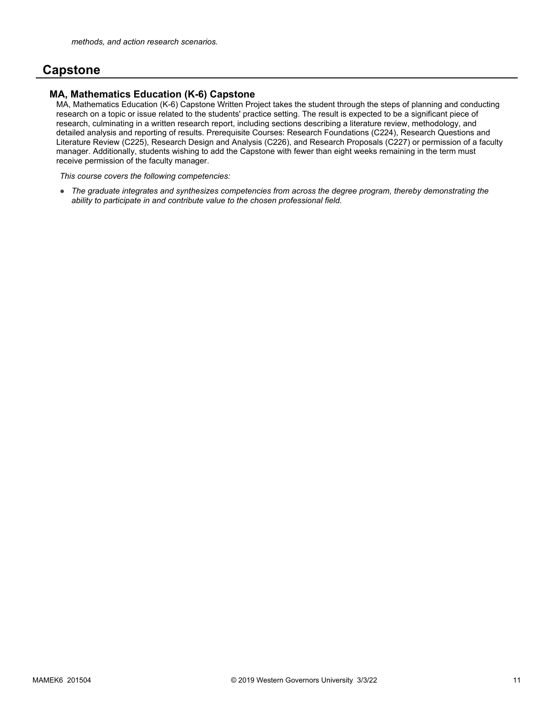## **Capstone**

### **MA, Mathematics Education (K-6) Capstone**

MA, Mathematics Education (K-6) Capstone Written Project takes the student through the steps of planning and conducting research on a topic or issue related to the students' practice setting. The result is expected to be a significant piece of research, culminating in a written research report, including sections describing a literature review, methodology, and detailed analysis and reporting of results. Prerequisite Courses: Research Foundations (C224), Research Questions and Literature Review (C225), Research Design and Analysis (C226), and Research Proposals (C227) or permission of a faculty manager. Additionally, students wishing to add the Capstone with fewer than eight weeks remaining in the term must receive permission of the faculty manager.

*This course covers the following competencies:*

● *The graduate integrates and synthesizes competencies from across the degree program, thereby demonstrating the ability to participate in and contribute value to the chosen professional field.*